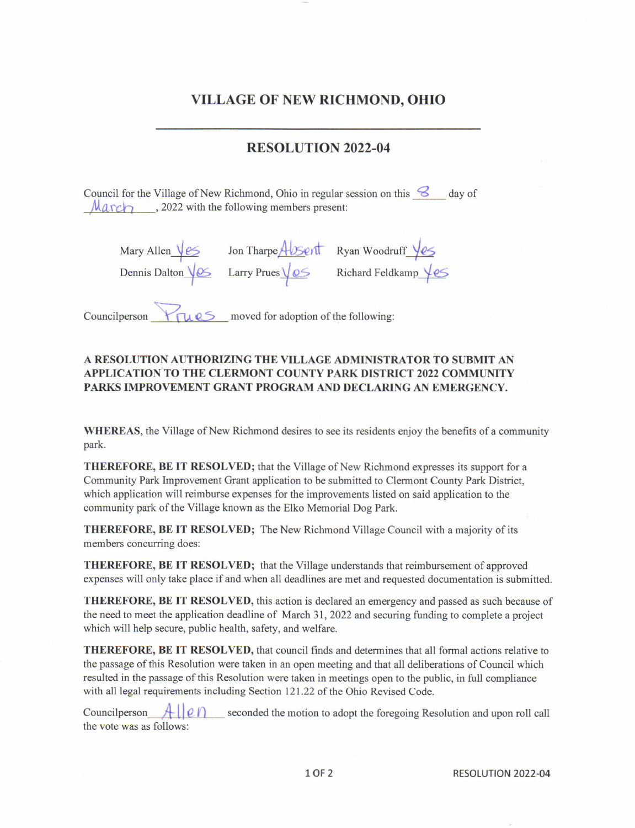## VILLAGE OF NEW RICHMOND. OHIO

## RESOLUTION 2022-04

Council for the Village of New Richmond, Ohio in regular session on this  $\mathcal{S}$  day of  $\mathcal{M}$   $\alpha$   $\sim$   $\mathcal{M}$ , 2022 with the following members present:

| Mary Allen $\sqrt{25}$ | Jon Tharpe Absent                | Ryan Woodruff $\sqrt{25}$             |
|------------------------|----------------------------------|---------------------------------------|
| Dennis Dalton Ves      | Larry Prues $\sqrt{\mathcal{Q}}$ | Richard Feldkamp $\sqrt{\mathcal{E}}$ |
|                        |                                  |                                       |

Councilperson  $\mathcal{F}$   $\mathcal{F}$   $\mathcal{F}$  moved for adoption of the following:

## A RESOLUTION AUTHORIZING THE VILLAGE ADMINISTRATOR TO SUBMIT AN APPLICATION TO THE CLERMONT COUNTY PARK DISTRICT 2022 COMMUNITY PARKS IMPROVEMENT GRANT PROGRAM AND DECLARING AN EMERGENCY.

WHEREAS, the Village of New Richmond desires to see its residents enjoy the benefits of a community park.

THEREFORE, BE IT RESOLVED; that the Village of New Richmond expresses its support for a Community Park Improvement Grant application to be submitted to Clermont County Park District, which application will reimburse expenses for the improvements listed on said application to the community park of the Village known as the Elko Memorial Dog Park.

THEREFORE, BE IT RESOLVED; The New Richmond Village Council with a majority of its mernbers concurring does:

THEREFORE, BE IT RESOLVED; that the Village understands that reimbursernent of approved expenses will only take place if and when all deadlines are met and requested documentation is submitted.

THEREFORE, BE IT RESOLVED, this action is declared an emergency and passed as such because of the need to meet the application deadline of March 31, 2022 and securing funding to complete a project which will help secure, public health, safety, and welfare.

THEREFORE, BE IT RESOLVED, that council finds and determines that all formal actions relative to the passage of this Resolution were taken in an open meeting and that all deliberations of Council which resulted in the passage ofthis Resolution were taken in meetings open to the public, in full compliance with all legal requirements including Section 121.22 of the Ohio Revised Code.

Councilperson  $\mathcal{A} \cup \mathcal{O}$  seconded the motion to adopt the foregoing Resolution and upon roll call the vote was as follows: